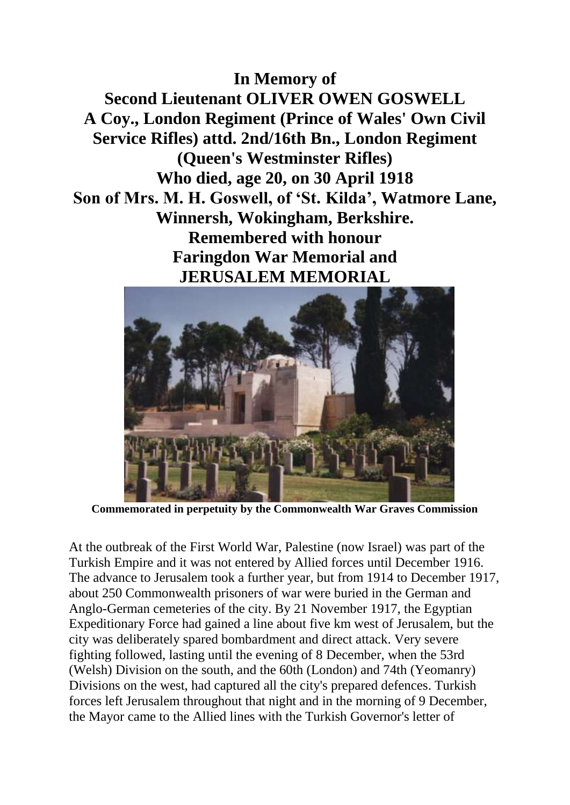## **In Memory of**

**Second Lieutenant OLIVER OWEN GOSWELL A Coy., London Regiment (Prince of Wales' Own Civil Service Rifles) attd. 2nd/16th Bn., London Regiment (Queen's Westminster Rifles) Who died, age 20, on 30 April 1918 Son of Mrs. M. H. Goswell, of 'St. Kilda', Watmore Lane, Winnersh, Wokingham, Berkshire. Remembered with honour Faringdon War Memorial and JERUSALEM MEMORIAL**



**Commemorated in perpetuity by the Commonwealth War Graves Commission**

At the outbreak of the First World War, Palestine (now Israel) was part of the Turkish Empire and it was not entered by Allied forces until December 1916. The advance to Jerusalem took a further year, but from 1914 to December 1917, about 250 Commonwealth prisoners of war were buried in the German and Anglo-German cemeteries of the city. By 21 November 1917, the Egyptian Expeditionary Force had gained a line about five km west of Jerusalem, but the city was deliberately spared bombardment and direct attack. Very severe fighting followed, lasting until the evening of 8 December, when the 53rd (Welsh) Division on the south, and the 60th (London) and 74th (Yeomanry) Divisions on the west, had captured all the city's prepared defences. Turkish forces left Jerusalem throughout that night and in the morning of 9 December, the Mayor came to the Allied lines with the Turkish Governor's letter of